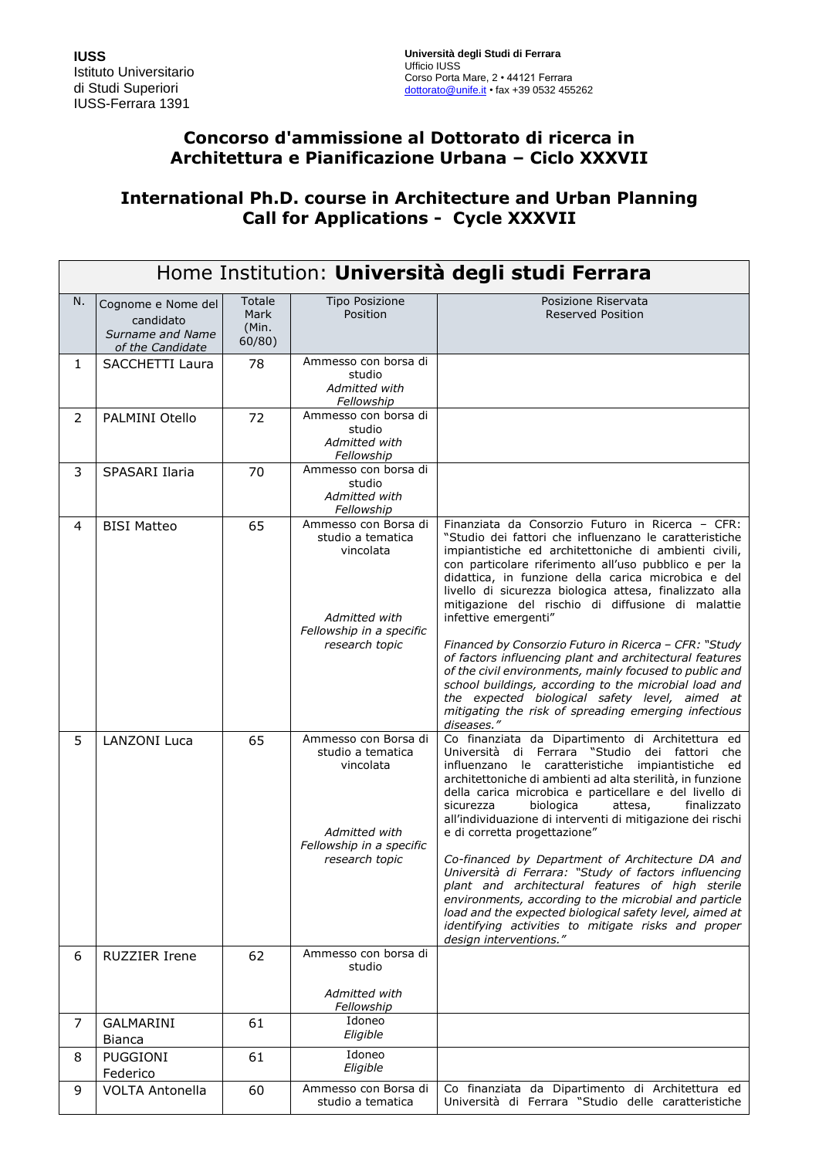## **Concorso d'ammissione al Dottorato di ricerca in Architettura e Pianificazione Urbana – Ciclo XXXVII**

# **International Ph.D. course in Architecture and Urban Planning Call for Applications - Cycle XXXVII**

|                | Home Institution: Università degli studi Ferrara                        |                                   |                                                                                                                       |                                                                                                                                                                                                                                                                                                                                                                                                                                                                                                                                                                                                                                                                                                                                                                                                                    |  |
|----------------|-------------------------------------------------------------------------|-----------------------------------|-----------------------------------------------------------------------------------------------------------------------|--------------------------------------------------------------------------------------------------------------------------------------------------------------------------------------------------------------------------------------------------------------------------------------------------------------------------------------------------------------------------------------------------------------------------------------------------------------------------------------------------------------------------------------------------------------------------------------------------------------------------------------------------------------------------------------------------------------------------------------------------------------------------------------------------------------------|--|
| N.             | Cognome e Nome del<br>candidato<br>Surname and Name<br>of the Candidate | Totale<br>Mark<br>(Min.<br>60/80) | <b>Tipo Posizione</b><br>Position                                                                                     | Posizione Riservata<br><b>Reserved Position</b>                                                                                                                                                                                                                                                                                                                                                                                                                                                                                                                                                                                                                                                                                                                                                                    |  |
| $\mathbf{1}$   | SACCHETTI Laura                                                         | 78                                | Ammesso con borsa di<br>studio<br>Admitted with<br>Fellowship                                                         |                                                                                                                                                                                                                                                                                                                                                                                                                                                                                                                                                                                                                                                                                                                                                                                                                    |  |
| $\overline{2}$ | PALMINI Otello                                                          | 72                                | Ammesso con borsa di<br>studio<br>Admitted with<br>Fellowship                                                         |                                                                                                                                                                                                                                                                                                                                                                                                                                                                                                                                                                                                                                                                                                                                                                                                                    |  |
| 3              | SPASARI Ilaria                                                          | 70                                | Ammesso con borsa di<br>studio<br>Admitted with<br>Fellowship                                                         |                                                                                                                                                                                                                                                                                                                                                                                                                                                                                                                                                                                                                                                                                                                                                                                                                    |  |
| 4              | <b>BISI Matteo</b>                                                      | 65                                | Ammesso con Borsa di<br>studio a tematica<br>vincolata<br>Admitted with<br>Fellowship in a specific<br>research topic | Finanziata da Consorzio Futuro in Ricerca - CFR:<br>"Studio dei fattori che influenzano le caratteristiche<br>impiantistiche ed architettoniche di ambienti civili,<br>con particolare riferimento all'uso pubblico e per la<br>didattica, in funzione della carica microbica e del<br>livello di sicurezza biologica attesa, finalizzato alla<br>mitigazione del rischio di diffusione di malattie<br>infettive emergenti"<br>Financed by Consorzio Futuro in Ricerca - CFR: "Study<br>of factors influencing plant and architectural features<br>of the civil environments, mainly focused to public and<br>school buildings, according to the microbial load and<br>the expected biological safety level, aimed at<br>mitigating the risk of spreading emerging infectious                                      |  |
| 5              | <b>LANZONI Luca</b>                                                     | 65                                | Ammesso con Borsa di<br>studio a tematica<br>vincolata<br>Admitted with<br>Fellowship in a specific<br>research topic | diseases."<br>Co finanziata da Dipartimento di Architettura ed<br>Università di Ferrara "Studio dei fattori che<br>influenzano le caratteristiche impiantistiche ed<br>architettoniche di ambienti ad alta sterilità, in funzione<br>della carica microbica e particellare e del livello di<br>sicurezza<br>biologica<br>attesa,<br>finalizzato<br>all'individuazione di interventi di mitigazione dei rischi<br>e di corretta progettazione"<br>Co-financed by Department of Architecture DA and<br>Università di Ferrara: "Study of factors influencing<br>plant and architectural features of high sterile<br>environments, according to the microbial and particle<br>load and the expected biological safety level, aimed at<br>identifying activities to mitigate risks and proper<br>design interventions." |  |
| 6              | <b>RUZZIER Irene</b>                                                    | 62                                | Ammesso con borsa di<br>studio<br>Admitted with                                                                       |                                                                                                                                                                                                                                                                                                                                                                                                                                                                                                                                                                                                                                                                                                                                                                                                                    |  |
| 7              | GALMARINI                                                               | 61                                | Fellowship<br>Idoneo                                                                                                  |                                                                                                                                                                                                                                                                                                                                                                                                                                                                                                                                                                                                                                                                                                                                                                                                                    |  |
|                | <b>Bianca</b>                                                           |                                   | Eligible                                                                                                              |                                                                                                                                                                                                                                                                                                                                                                                                                                                                                                                                                                                                                                                                                                                                                                                                                    |  |
| 8              | <b>PUGGIONI</b><br>Federico                                             | 61                                | Idoneo<br>Eligible                                                                                                    |                                                                                                                                                                                                                                                                                                                                                                                                                                                                                                                                                                                                                                                                                                                                                                                                                    |  |
| 9              | <b>VOLTA Antonella</b>                                                  | 60                                | Ammesso con Borsa di<br>studio a tematica                                                                             | Co finanziata da Dipartimento di Architettura ed<br>Università di Ferrara "Studio delle caratteristiche                                                                                                                                                                                                                                                                                                                                                                                                                                                                                                                                                                                                                                                                                                            |  |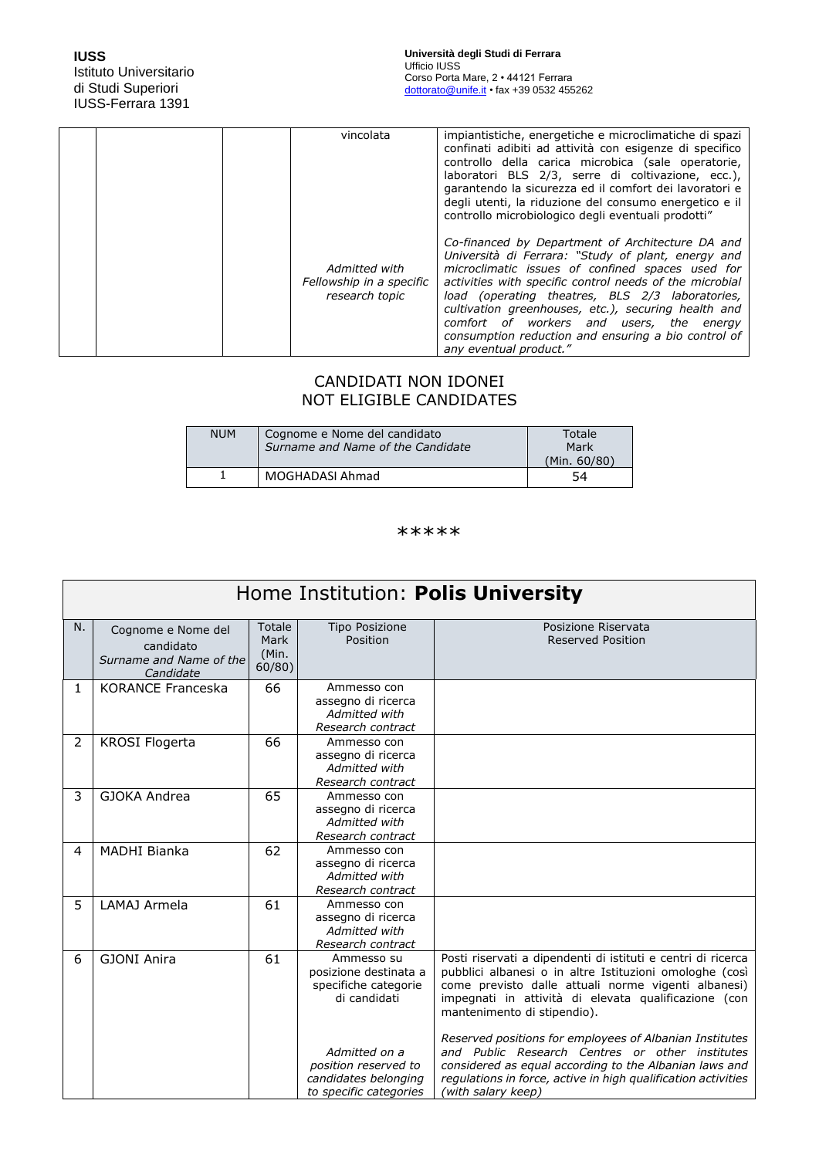|  | vincolata                                                   | impiantistiche, energetiche e microclimatiche di spazi<br>confinati adibiti ad attività con esigenze di specifico<br>controllo della carica microbica (sale operatorie,<br>laboratori BLS 2/3, serre di coltivazione, ecc.),<br>garantendo la sicurezza ed il comfort dei lavoratori e<br>degli utenti, la riduzione del consumo energetico e il<br>controllo microbiologico degli eventuali prodotti"                                                       |
|--|-------------------------------------------------------------|--------------------------------------------------------------------------------------------------------------------------------------------------------------------------------------------------------------------------------------------------------------------------------------------------------------------------------------------------------------------------------------------------------------------------------------------------------------|
|  | Admitted with<br>Fellowship in a specific<br>research topic | Co-financed by Department of Architecture DA and<br>Università di Ferrara: "Study of plant, energy and<br>microclimatic issues of confined spaces used for<br>activities with specific control needs of the microbial<br>load (operating theatres, BLS 2/3 laboratories,<br>cultivation greenhouses, etc.), securing health and<br>comfort of workers and users, the energy<br>consumption reduction and ensuring a bio control of<br>any eventual product." |

### CANDIDATI NON IDONEI NOT ELIGIBLE CANDIDATES

| <b>NUM</b> | Cognome e Nome del candidato<br>Surname and Name of the Candidate | Totale<br>Mark<br>(Min. 60/80) |
|------------|-------------------------------------------------------------------|--------------------------------|
|            | MOGHADASI Ahmad                                                   | 54                             |

#### \*\*\*\*\*

| Home Institution: Polis University |                                                                         |                                   |                                                                                         |                                                                                                                                                                                                                                                                       |
|------------------------------------|-------------------------------------------------------------------------|-----------------------------------|-----------------------------------------------------------------------------------------|-----------------------------------------------------------------------------------------------------------------------------------------------------------------------------------------------------------------------------------------------------------------------|
| N.                                 | Cognome e Nome del<br>candidato<br>Surname and Name of the<br>Candidate | Totale<br>Mark<br>(Min.<br>60/80) | <b>Tipo Posizione</b><br>Position                                                       | Posizione Riservata<br><b>Reserved Position</b>                                                                                                                                                                                                                       |
| 1                                  | <b>KORANCE Franceska</b>                                                | 66                                | Ammesso con<br>assegno di ricerca<br>Admitted with<br>Research contract                 |                                                                                                                                                                                                                                                                       |
| $\overline{2}$                     | <b>KROSI Flogerta</b>                                                   | 66                                | Ammesso con<br>assegno di ricerca<br>Admitted with<br>Research contract                 |                                                                                                                                                                                                                                                                       |
| 3                                  | GJOKA Andrea                                                            | 65                                | Ammesso con<br>assegno di ricerca<br>Admitted with<br>Research contract                 |                                                                                                                                                                                                                                                                       |
| 4                                  | <b>MADHI Bianka</b>                                                     | 62                                | Ammesso con<br>assegno di ricerca<br>Admitted with<br>Research contract                 |                                                                                                                                                                                                                                                                       |
| 5                                  | LAMAJ Armela                                                            | 61                                | Ammesso con<br>assegno di ricerca<br>Admitted with<br>Research contract                 |                                                                                                                                                                                                                                                                       |
| 6                                  | <b>GJONI Anira</b>                                                      | 61                                | Ammesso su<br>posizione destinata a<br>specifiche categorie<br>di candidati             | Posti riservati a dipendenti di istituti e centri di ricerca<br>pubblici albanesi o in altre Istituzioni omologhe (così<br>come previsto dalle attuali norme vigenti albanesi)<br>impegnati in attività di elevata qualificazione (con<br>mantenimento di stipendio). |
|                                    |                                                                         |                                   | Admitted on a<br>position reserved to<br>candidates belonging<br>to specific categories | Reserved positions for employees of Albanian Institutes<br>and Public Research Centres or other institutes<br>considered as equal according to the Albanian laws and<br>regulations in force, active in high qualification activities<br>(with salary keep)           |